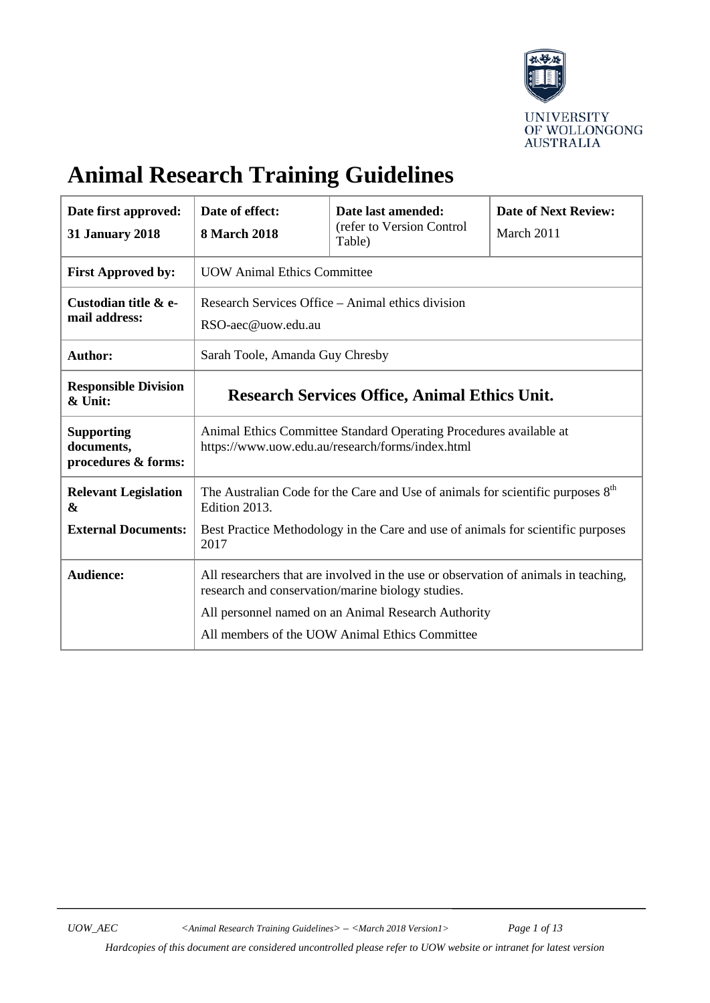

# **Animal Research Training Guidelines**

| Date first approved:<br><b>31 January 2018</b>         | Date of effect:<br><b>8 March 2018</b>                                                                                                   | Date last amended:<br>(refer to Version Control<br>Table) | <b>Date of Next Review:</b><br>March 2011 |
|--------------------------------------------------------|------------------------------------------------------------------------------------------------------------------------------------------|-----------------------------------------------------------|-------------------------------------------|
| <b>First Approved by:</b>                              | <b>UOW Animal Ethics Committee</b>                                                                                                       |                                                           |                                           |
| Custodian title & e-<br>mail address:                  | Research Services Office – Animal ethics division<br>RSO-aec@uow.edu.au                                                                  |                                                           |                                           |
| Author:                                                | Sarah Toole, Amanda Guy Chresby                                                                                                          |                                                           |                                           |
| <b>Responsible Division</b><br>& Unit:                 | <b>Research Services Office, Animal Ethics Unit.</b>                                                                                     |                                                           |                                           |
| <b>Supporting</b><br>documents,<br>procedures & forms: | Animal Ethics Committee Standard Operating Procedures available at<br>https://www.uow.edu.au/research/forms/index.html                   |                                                           |                                           |
| <b>Relevant Legislation</b><br>&                       | The Australian Code for the Care and Use of animals for scientific purposes $8th$<br>Edition 2013.                                       |                                                           |                                           |
| <b>External Documents:</b>                             | Best Practice Methodology in the Care and use of animals for scientific purposes<br>2017                                                 |                                                           |                                           |
| <b>Audience:</b>                                       | All researchers that are involved in the use or observation of animals in teaching,<br>research and conservation/marine biology studies. |                                                           |                                           |
|                                                        | All personnel named on an Animal Research Authority<br>All members of the UOW Animal Ethics Committee                                    |                                                           |                                           |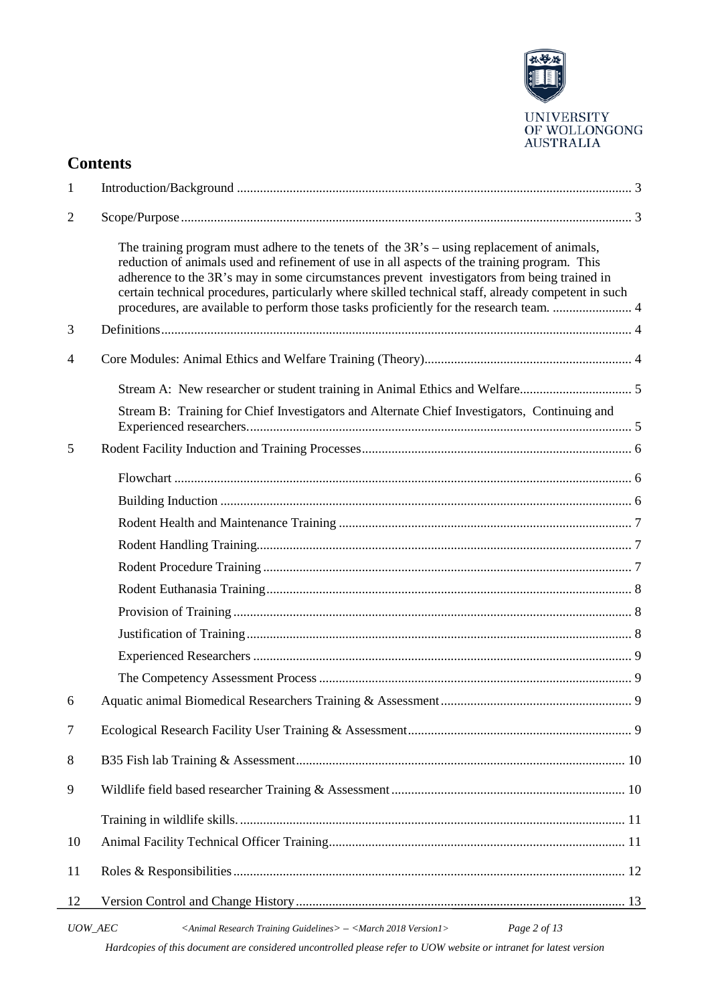

# **Contents**

| 1              |                                                                                                                                                                                                                                                                                                                                                                                                                                                                                                  |  |  |
|----------------|--------------------------------------------------------------------------------------------------------------------------------------------------------------------------------------------------------------------------------------------------------------------------------------------------------------------------------------------------------------------------------------------------------------------------------------------------------------------------------------------------|--|--|
| $\mathfrak{2}$ |                                                                                                                                                                                                                                                                                                                                                                                                                                                                                                  |  |  |
|                | The training program must adhere to the tenets of the $3R$ 's $-$ using replacement of animals,<br>reduction of animals used and refinement of use in all aspects of the training program. This<br>adherence to the 3R's may in some circumstances prevent investigators from being trained in<br>certain technical procedures, particularly where skilled technical staff, already competent in such<br>procedures, are available to perform those tasks proficiently for the research team.  4 |  |  |
| 3              |                                                                                                                                                                                                                                                                                                                                                                                                                                                                                                  |  |  |
| 4              |                                                                                                                                                                                                                                                                                                                                                                                                                                                                                                  |  |  |
|                |                                                                                                                                                                                                                                                                                                                                                                                                                                                                                                  |  |  |
|                | Stream B: Training for Chief Investigators and Alternate Chief Investigators, Continuing and                                                                                                                                                                                                                                                                                                                                                                                                     |  |  |
| 5              |                                                                                                                                                                                                                                                                                                                                                                                                                                                                                                  |  |  |
|                |                                                                                                                                                                                                                                                                                                                                                                                                                                                                                                  |  |  |
|                |                                                                                                                                                                                                                                                                                                                                                                                                                                                                                                  |  |  |
|                |                                                                                                                                                                                                                                                                                                                                                                                                                                                                                                  |  |  |
|                |                                                                                                                                                                                                                                                                                                                                                                                                                                                                                                  |  |  |
|                |                                                                                                                                                                                                                                                                                                                                                                                                                                                                                                  |  |  |
|                |                                                                                                                                                                                                                                                                                                                                                                                                                                                                                                  |  |  |
|                |                                                                                                                                                                                                                                                                                                                                                                                                                                                                                                  |  |  |
|                |                                                                                                                                                                                                                                                                                                                                                                                                                                                                                                  |  |  |
|                |                                                                                                                                                                                                                                                                                                                                                                                                                                                                                                  |  |  |
|                |                                                                                                                                                                                                                                                                                                                                                                                                                                                                                                  |  |  |
| 6              |                                                                                                                                                                                                                                                                                                                                                                                                                                                                                                  |  |  |
| 7              |                                                                                                                                                                                                                                                                                                                                                                                                                                                                                                  |  |  |
| 8              |                                                                                                                                                                                                                                                                                                                                                                                                                                                                                                  |  |  |
| 9              |                                                                                                                                                                                                                                                                                                                                                                                                                                                                                                  |  |  |
|                |                                                                                                                                                                                                                                                                                                                                                                                                                                                                                                  |  |  |
| 10             |                                                                                                                                                                                                                                                                                                                                                                                                                                                                                                  |  |  |
| 11             |                                                                                                                                                                                                                                                                                                                                                                                                                                                                                                  |  |  |
| 12             |                                                                                                                                                                                                                                                                                                                                                                                                                                                                                                  |  |  |
|                | Page 2 of 13<br>UOW_AEC<br><animal guidelines="" research="" training=""> - <march 2018="" version1=""><br/>Hardcopies of this document are considered uncontrolled please refer to UOW website or intranet for latest version</march></animal>                                                                                                                                                                                                                                                  |  |  |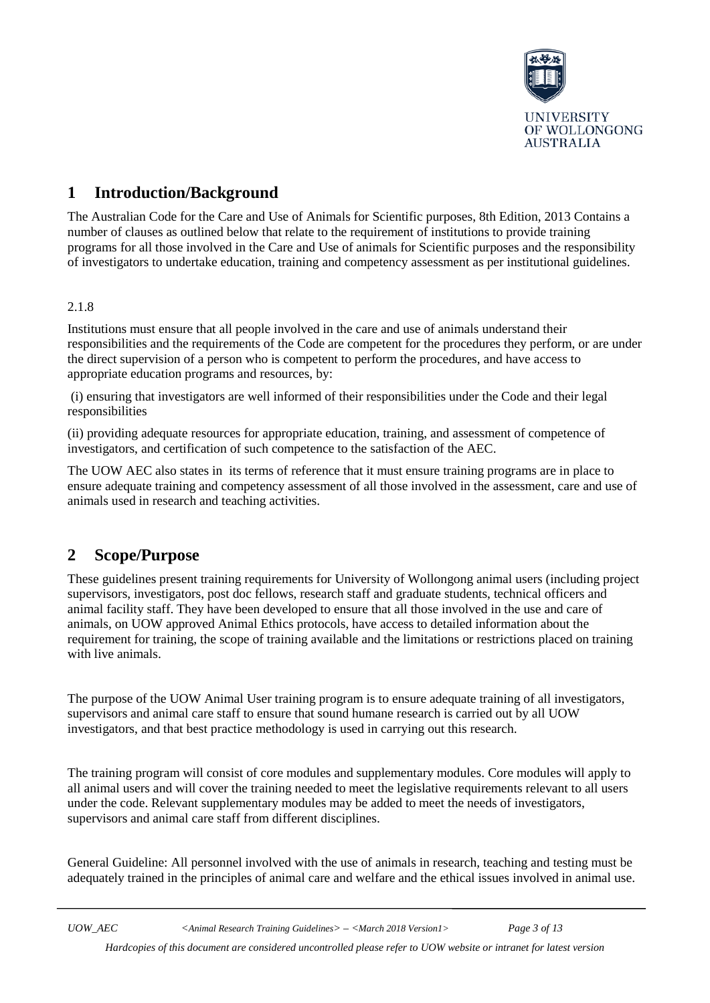

# <span id="page-2-0"></span>**1 Introduction/Background**

The Australian Code for the Care and Use of Animals for Scientific purposes, 8th Edition, 2013 Contains a number of clauses as outlined below that relate to the requirement of institutions to provide training programs for all those involved in the Care and Use of animals for Scientific purposes and the responsibility of investigators to undertake education, training and competency assessment as per institutional guidelines.

#### 2.1.8

Institutions must ensure that all people involved in the care and use of animals understand their responsibilities and the requirements of the Code are competent for the procedures they perform, or are under the direct supervision of a person who is competent to perform the procedures, and have access to appropriate education programs and resources, by:

(i) ensuring that investigators are well informed of their responsibilities under the Code and their legal responsibilities

(ii) providing adequate resources for appropriate education, training, and assessment of competence of investigators, and certification of such competence to the satisfaction of the AEC.

The UOW AEC also states in its terms of reference that it must ensure training programs are in place to ensure adequate training and competency assessment of all those involved in the assessment, care and use of animals used in research and teaching activities.

### <span id="page-2-1"></span>**2 Scope/Purpose**

These guidelines present training requirements for University of Wollongong animal users (including project supervisors, investigators, post doc fellows, research staff and graduate students, technical officers and animal facility staff. They have been developed to ensure that all those involved in the use and care of animals, on UOW approved Animal Ethics protocols, have access to detailed information about the requirement for training, the scope of training available and the limitations or restrictions placed on training with live animals.

The purpose of the UOW Animal User training program is to ensure adequate training of all investigators, supervisors and animal care staff to ensure that sound humane research is carried out by all UOW investigators, and that best practice methodology is used in carrying out this research.

The training program will consist of core modules and supplementary modules. Core modules will apply to all animal users and will cover the training needed to meet the legislative requirements relevant to all users under the code. Relevant supplementary modules may be added to meet the needs of investigators, supervisors and animal care staff from different disciplines.

General Guideline: All personnel involved with the use of animals in research, teaching and testing must be adequately trained in the principles of animal care and welfare and the ethical issues involved in animal use.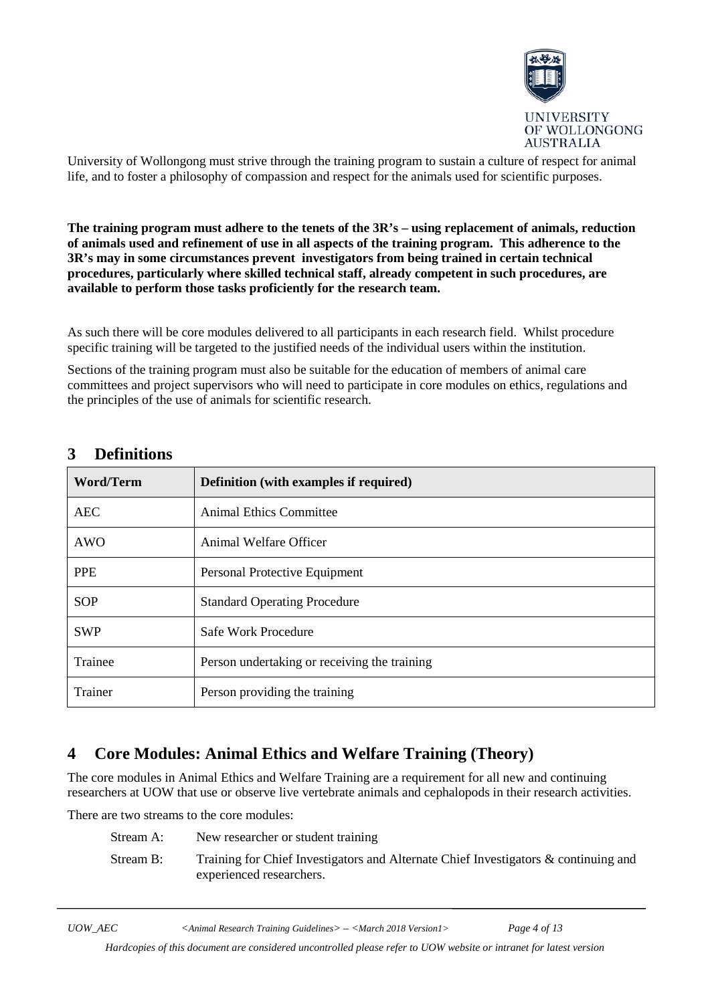

University of Wollongong must strive through the training program to sustain a culture of respect for animal life, and to foster a philosophy of compassion and respect for the animals used for scientific purposes.

<span id="page-3-0"></span>**The training program must adhere to the tenets of the 3R's – using replacement of animals, reduction of animals used and refinement of use in all aspects of the training program. This adherence to the 3R's may in some circumstances prevent investigators from being trained in certain technical procedures, particularly where skilled technical staff, already competent in such procedures, are available to perform those tasks proficiently for the research team.**

As such there will be core modules delivered to all participants in each research field. Whilst procedure specific training will be targeted to the justified needs of the individual users within the institution.

Sections of the training program must also be suitable for the education of members of animal care committees and project supervisors who will need to participate in core modules on ethics, regulations and the principles of the use of animals for scientific research.

| <b>Word/Term</b> | <b>Definition</b> (with examples if required) |  |
|------------------|-----------------------------------------------|--|
| <b>AEC</b>       | Animal Ethics Committee                       |  |
| AWO              | Animal Welfare Officer                        |  |
| <b>PPE</b>       | Personal Protective Equipment                 |  |
| <b>SOP</b>       | <b>Standard Operating Procedure</b>           |  |
| <b>SWP</b>       | Safe Work Procedure                           |  |
| Trainee          | Person undertaking or receiving the training  |  |
| Trainer          | Person providing the training                 |  |

### <span id="page-3-1"></span>**3 Definitions**

### <span id="page-3-2"></span>**4 Core Modules: Animal Ethics and Welfare Training (Theory)**

The core modules in Animal Ethics and Welfare Training are a requirement for all new and continuing researchers at UOW that use or observe live vertebrate animals and cephalopods in their research activities.

There are two streams to the core modules:

| Stream A: | New researcher or student training                                                                              |
|-----------|-----------------------------------------------------------------------------------------------------------------|
| Stream B: | Training for Chief Investigators and Alternate Chief Investigators & continuing and<br>experienced researchers. |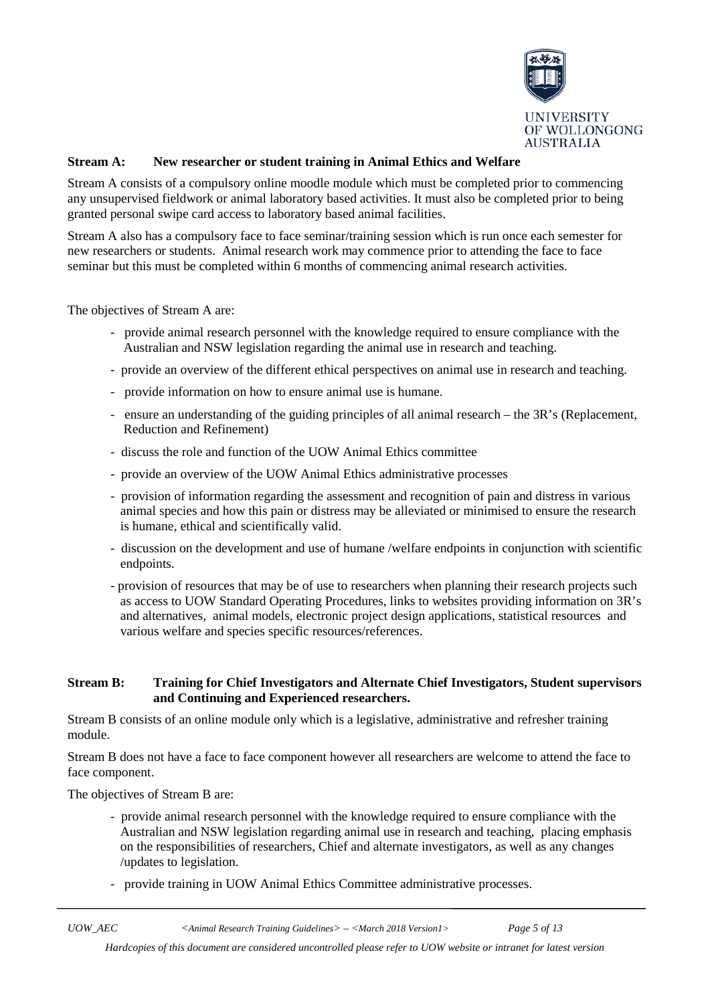

#### <span id="page-4-0"></span>**Stream A: New researcher or student training in Animal Ethics and Welfare**

Stream A consists of a compulsory online moodle module which must be completed prior to commencing any unsupervised fieldwork or animal laboratory based activities. It must also be completed prior to being granted personal swipe card access to laboratory based animal facilities.

Stream A also has a compulsory face to face seminar/training session which is run once each semester for new researchers or students. Animal research work may commence prior to attending the face to face seminar but this must be completed within 6 months of commencing animal research activities.

The objectives of Stream A are:

- provide animal research personnel with the knowledge required to ensure compliance with the Australian and NSW legislation regarding the animal use in research and teaching.
- provide an overview of the different ethical perspectives on animal use in research and teaching.
- provide information on how to ensure animal use is humane.
- ensure an understanding of the guiding principles of all animal research the 3R's (Replacement, Reduction and Refinement)
- discuss the role and function of the UOW Animal Ethics committee
- provide an overview of the UOW Animal Ethics administrative processes
- provision of information regarding the assessment and recognition of pain and distress in various animal species and how this pain or distress may be alleviated or minimised to ensure the research is humane, ethical and scientifically valid.
- discussion on the development and use of humane /welfare endpoints in conjunction with scientific endpoints.
- provision of resources that may be of use to researchers when planning their research projects such as access to UOW Standard Operating Procedures, links to websites providing information on 3R's and alternatives, animal models, electronic project design applications, statistical resources and various welfare and species specific resources/references.

#### <span id="page-4-1"></span>**Stream B: Training for Chief Investigators and Alternate Chief Investigators, Student supervisors and Continuing and Experienced researchers.**

Stream B consists of an online module only which is a legislative, administrative and refresher training module.

Stream B does not have a face to face component however all researchers are welcome to attend the face to face component.

The objectives of Stream B are:

- provide animal research personnel with the knowledge required to ensure compliance with the Australian and NSW legislation regarding animal use in research and teaching, placing emphasis on the responsibilities of researchers, Chief and alternate investigators, as well as any changes /updates to legislation.
- provide training in UOW Animal Ethics Committee administrative processes.

*UOW\_AEC <Animal Research Training Guidelines> – <March 2018 Version1> Page 5 of 13*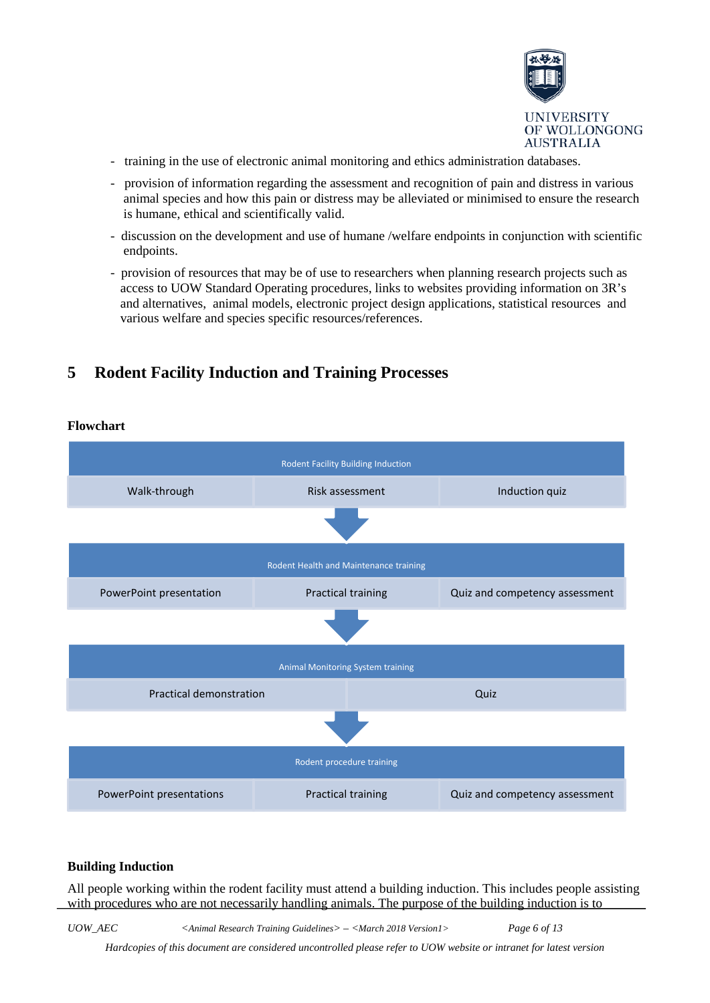

- training in the use of electronic animal monitoring and ethics administration databases.
- provision of information regarding the assessment and recognition of pain and distress in various animal species and how this pain or distress may be alleviated or minimised to ensure the research is humane, ethical and scientifically valid.
- discussion on the development and use of humane /welfare endpoints in conjunction with scientific endpoints.
- provision of resources that may be of use to researchers when planning research projects such as access to UOW Standard Operating procedures, links to websites providing information on 3R's and alternatives, animal models, electronic project design applications, statistical resources and various welfare and species specific resources/references.

# <span id="page-5-0"></span>**5 Rodent Facility Induction and Training Processes**

#### <span id="page-5-1"></span>**Flowchart**



#### <span id="page-5-2"></span>**Building Induction**

All people working within the rodent facility must attend a building induction. This includes people assisting with procedures who are not necessarily handling animals. The purpose of the building induction is to

*UOW\_AEC <Animal Research Training Guidelines> – <March 2018 Version1> Page 6 of 13*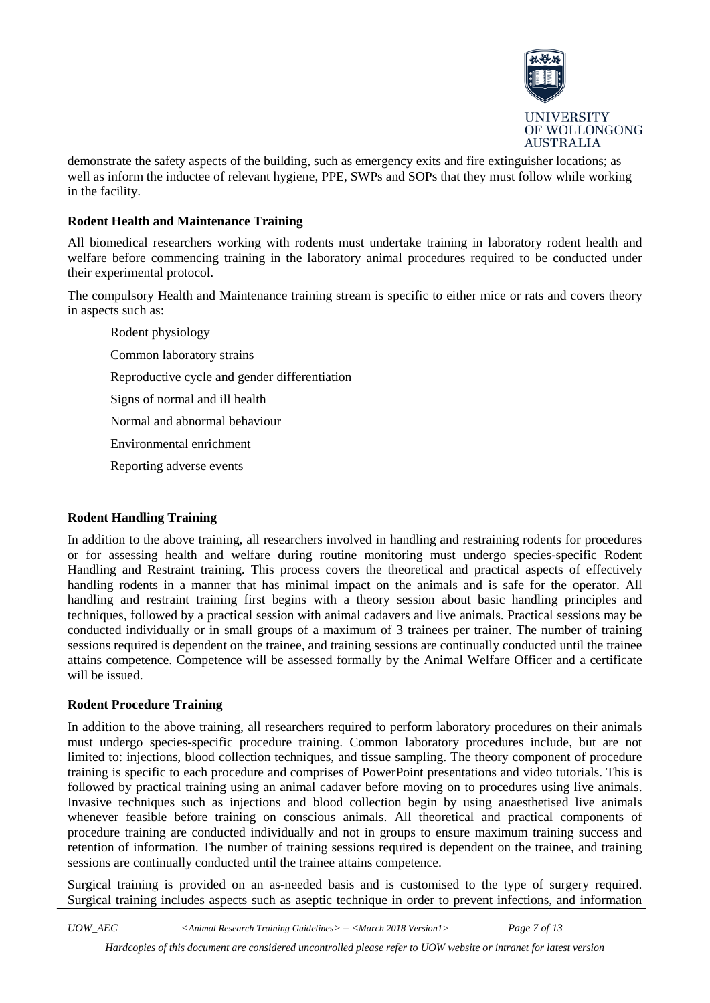

demonstrate the safety aspects of the building, such as emergency exits and fire extinguisher locations; as well as inform the inductee of relevant hygiene, PPE, SWPs and SOPs that they must follow while working in the facility.

#### <span id="page-6-0"></span>**Rodent Health and Maintenance Training**

All biomedical researchers working with rodents must undertake training in laboratory rodent health and welfare before commencing training in the laboratory animal procedures required to be conducted under their experimental protocol.

The compulsory Health and Maintenance training stream is specific to either mice or rats and covers theory in aspects such as:

Rodent physiology Common laboratory strains Reproductive cycle and gender differentiation Signs of normal and ill health Normal and abnormal behaviour Environmental enrichment Reporting adverse events

#### <span id="page-6-1"></span>**Rodent Handling Training**

In addition to the above training, all researchers involved in handling and restraining rodents for procedures or for assessing health and welfare during routine monitoring must undergo species-specific Rodent Handling and Restraint training. This process covers the theoretical and practical aspects of effectively handling rodents in a manner that has minimal impact on the animals and is safe for the operator. All handling and restraint training first begins with a theory session about basic handling principles and techniques, followed by a practical session with animal cadavers and live animals. Practical sessions may be conducted individually or in small groups of a maximum of 3 trainees per trainer. The number of training sessions required is dependent on the trainee, and training sessions are continually conducted until the trainee attains competence. Competence will be assessed formally by the Animal Welfare Officer and a certificate will be issued.

#### <span id="page-6-2"></span>**Rodent Procedure Training**

In addition to the above training, all researchers required to perform laboratory procedures on their animals must undergo species-specific procedure training. Common laboratory procedures include, but are not limited to: injections, blood collection techniques, and tissue sampling. The theory component of procedure training is specific to each procedure and comprises of PowerPoint presentations and video tutorials. This is followed by practical training using an animal cadaver before moving on to procedures using live animals. Invasive techniques such as injections and blood collection begin by using anaesthetised live animals whenever feasible before training on conscious animals. All theoretical and practical components of procedure training are conducted individually and not in groups to ensure maximum training success and retention of information. The number of training sessions required is dependent on the trainee, and training sessions are continually conducted until the trainee attains competence.

Surgical training is provided on an as-needed basis and is customised to the type of surgery required. Surgical training includes aspects such as aseptic technique in order to prevent infections, and information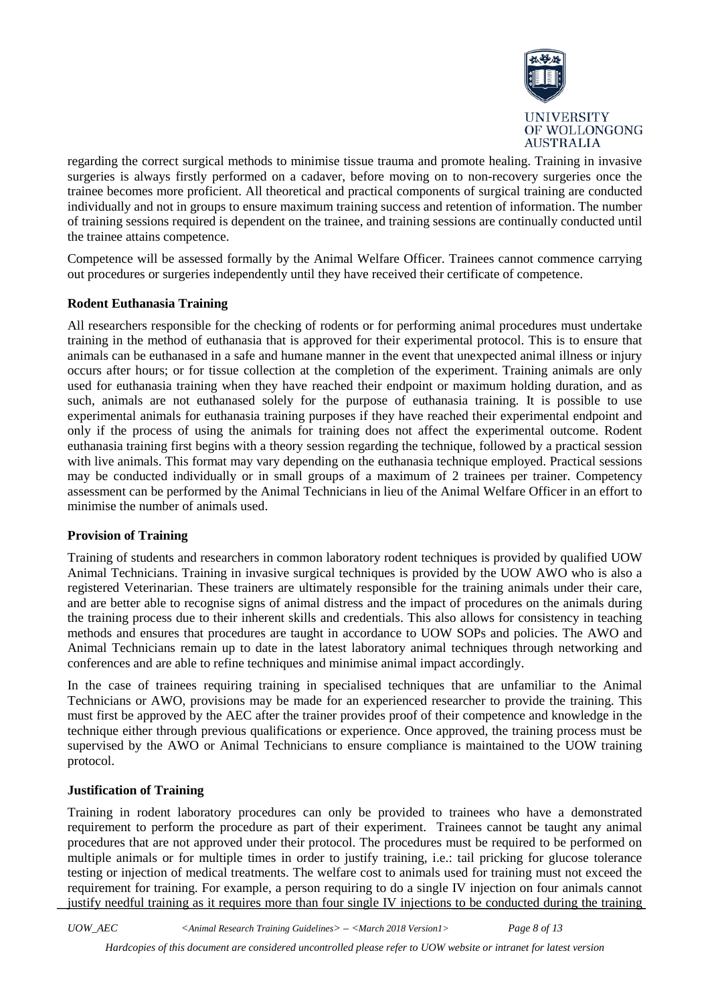

regarding the correct surgical methods to minimise tissue trauma and promote healing. Training in invasive surgeries is always firstly performed on a cadaver, before moving on to non-recovery surgeries once the trainee becomes more proficient. All theoretical and practical components of surgical training are conducted individually and not in groups to ensure maximum training success and retention of information. The number of training sessions required is dependent on the trainee, and training sessions are continually conducted until the trainee attains competence.

Competence will be assessed formally by the Animal Welfare Officer. Trainees cannot commence carrying out procedures or surgeries independently until they have received their certificate of competence.

#### <span id="page-7-0"></span>**Rodent Euthanasia Training**

All researchers responsible for the checking of rodents or for performing animal procedures must undertake training in the method of euthanasia that is approved for their experimental protocol. This is to ensure that animals can be euthanased in a safe and humane manner in the event that unexpected animal illness or injury occurs after hours; or for tissue collection at the completion of the experiment. Training animals are only used for euthanasia training when they have reached their endpoint or maximum holding duration, and as such, animals are not euthanased solely for the purpose of euthanasia training. It is possible to use experimental animals for euthanasia training purposes if they have reached their experimental endpoint and only if the process of using the animals for training does not affect the experimental outcome. Rodent euthanasia training first begins with a theory session regarding the technique, followed by a practical session with live animals. This format may vary depending on the euthanasia technique employed. Practical sessions may be conducted individually or in small groups of a maximum of 2 trainees per trainer. Competency assessment can be performed by the Animal Technicians in lieu of the Animal Welfare Officer in an effort to minimise the number of animals used.

#### <span id="page-7-1"></span>**Provision of Training**

Training of students and researchers in common laboratory rodent techniques is provided by qualified UOW Animal Technicians. Training in invasive surgical techniques is provided by the UOW AWO who is also a registered Veterinarian. These trainers are ultimately responsible for the training animals under their care, and are better able to recognise signs of animal distress and the impact of procedures on the animals during the training process due to their inherent skills and credentials. This also allows for consistency in teaching methods and ensures that procedures are taught in accordance to UOW SOPs and policies. The AWO and Animal Technicians remain up to date in the latest laboratory animal techniques through networking and conferences and are able to refine techniques and minimise animal impact accordingly.

In the case of trainees requiring training in specialised techniques that are unfamiliar to the Animal Technicians or AWO, provisions may be made for an experienced researcher to provide the training. This must first be approved by the AEC after the trainer provides proof of their competence and knowledge in the technique either through previous qualifications or experience. Once approved, the training process must be supervised by the AWO or Animal Technicians to ensure compliance is maintained to the UOW training protocol.

#### <span id="page-7-2"></span>**Justification of Training**

Training in rodent laboratory procedures can only be provided to trainees who have a demonstrated requirement to perform the procedure as part of their experiment. Trainees cannot be taught any animal procedures that are not approved under their protocol. The procedures must be required to be performed on multiple animals or for multiple times in order to justify training, i.e.: tail pricking for glucose tolerance testing or injection of medical treatments. The welfare cost to animals used for training must not exceed the requirement for training. For example, a person requiring to do a single IV injection on four animals cannot justify needful training as it requires more than four single IV injections to be conducted during the training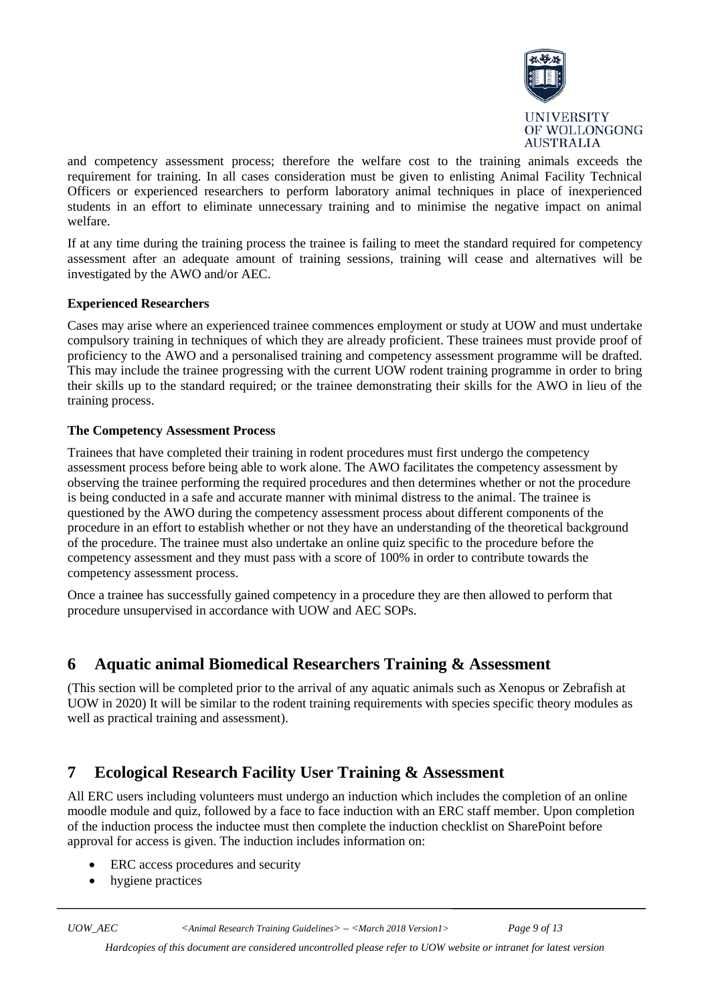

and competency assessment process; therefore the welfare cost to the training animals exceeds the requirement for training. In all cases consideration must be given to enlisting Animal Facility Technical Officers or experienced researchers to perform laboratory animal techniques in place of inexperienced students in an effort to eliminate unnecessary training and to minimise the negative impact on animal welfare.

If at any time during the training process the trainee is failing to meet the standard required for competency assessment after an adequate amount of training sessions, training will cease and alternatives will be investigated by the AWO and/or AEC.

#### <span id="page-8-0"></span>**Experienced Researchers**

Cases may arise where an experienced trainee commences employment or study at UOW and must undertake compulsory training in techniques of which they are already proficient. These trainees must provide proof of proficiency to the AWO and a personalised training and competency assessment programme will be drafted. This may include the trainee progressing with the current UOW rodent training programme in order to bring their skills up to the standard required; or the trainee demonstrating their skills for the AWO in lieu of the training process.

#### <span id="page-8-1"></span>**The Competency Assessment Process**

Trainees that have completed their training in rodent procedures must first undergo the competency assessment process before being able to work alone. The AWO facilitates the competency assessment by observing the trainee performing the required procedures and then determines whether or not the procedure is being conducted in a safe and accurate manner with minimal distress to the animal. The trainee is questioned by the AWO during the competency assessment process about different components of the procedure in an effort to establish whether or not they have an understanding of the theoretical background of the procedure. The trainee must also undertake an online quiz specific to the procedure before the competency assessment and they must pass with a score of 100% in order to contribute towards the competency assessment process.

Once a trainee has successfully gained competency in a procedure they are then allowed to perform that procedure unsupervised in accordance with UOW and AEC SOPs.

### <span id="page-8-2"></span>**6 Aquatic animal Biomedical Researchers Training & Assessment**

(This section will be completed prior to the arrival of any aquatic animals such as Xenopus or Zebrafish at UOW in 2020) It will be similar to the rodent training requirements with species specific theory modules as well as practical training and assessment).

### <span id="page-8-3"></span>**7 Ecological Research Facility User Training & Assessment**

All ERC users including volunteers must undergo an induction which includes the completion of an online moodle module and quiz, followed by a face to face induction with an ERC staff member. Upon completion of the induction process the inductee must then complete the induction checklist on SharePoint before approval for access is given. The induction includes information on:

- ERC access procedures and security
- hygiene practices

*UOW\_AEC <Animal Research Training Guidelines> – <March 2018 Version1> Page 9 of 13*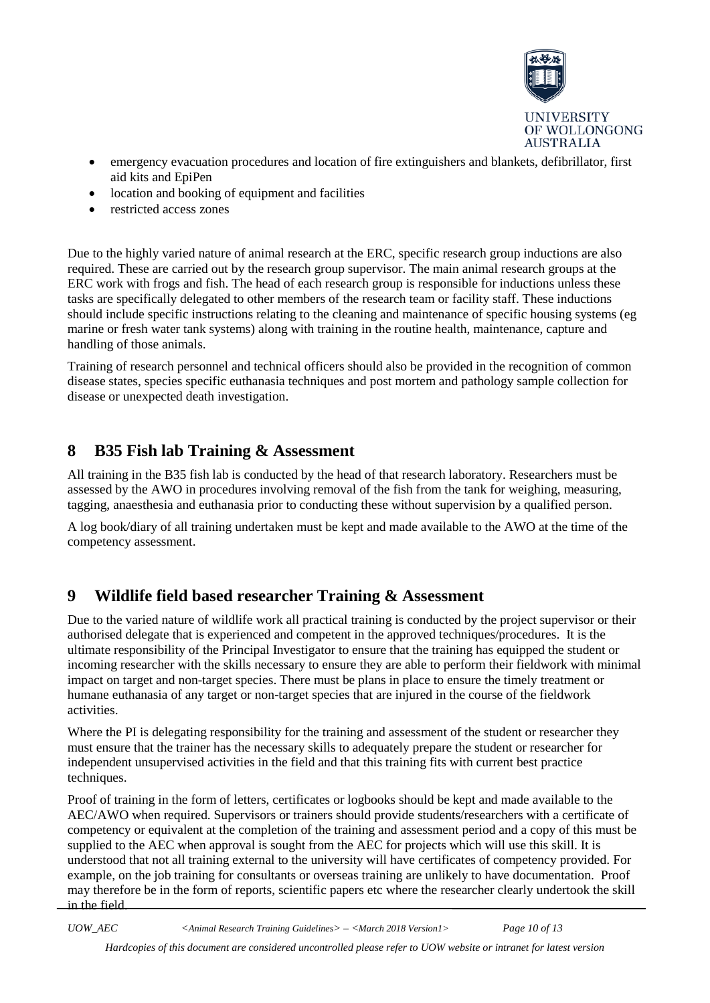

- emergency evacuation procedures and location of fire extinguishers and blankets, defibrillator, first aid kits and EpiPen
- location and booking of equipment and facilities
- restricted access zones

Due to the highly varied nature of animal research at the ERC, specific research group inductions are also required. These are carried out by the research group supervisor. The main animal research groups at the ERC work with frogs and fish. The head of each research group is responsible for inductions unless these tasks are specifically delegated to other members of the research team or facility staff. These inductions should include specific instructions relating to the cleaning and maintenance of specific housing systems (eg marine or fresh water tank systems) along with training in the routine health, maintenance, capture and handling of those animals.

Training of research personnel and technical officers should also be provided in the recognition of common disease states, species specific euthanasia techniques and post mortem and pathology sample collection for disease or unexpected death investigation.

### <span id="page-9-0"></span>**8 B35 Fish lab Training & Assessment**

All training in the B35 fish lab is conducted by the head of that research laboratory. Researchers must be assessed by the AWO in procedures involving removal of the fish from the tank for weighing, measuring, tagging, anaesthesia and euthanasia prior to conducting these without supervision by a qualified person.

A log book/diary of all training undertaken must be kept and made available to the AWO at the time of the competency assessment.

# <span id="page-9-1"></span>**9 Wildlife field based researcher Training & Assessment**

Due to the varied nature of wildlife work all practical training is conducted by the project supervisor or their authorised delegate that is experienced and competent in the approved techniques/procedures. It is the ultimate responsibility of the Principal Investigator to ensure that the training has equipped the student or incoming researcher with the skills necessary to ensure they are able to perform their fieldwork with minimal impact on target and non-target species. There must be plans in place to ensure the timely treatment or humane euthanasia of any target or non-target species that are injured in the course of the fieldwork activities.

Where the PI is delegating responsibility for the training and assessment of the student or researcher they must ensure that the trainer has the necessary skills to adequately prepare the student or researcher for independent unsupervised activities in the field and that this training fits with current best practice techniques.

Proof of training in the form of letters, certificates or logbooks should be kept and made available to the AEC/AWO when required. Supervisors or trainers should provide students/researchers with a certificate of competency or equivalent at the completion of the training and assessment period and a copy of this must be supplied to the AEC when approval is sought from the AEC for projects which will use this skill. It is understood that not all training external to the university will have certificates of competency provided. For example, on the job training for consultants or overseas training are unlikely to have documentation. Proof may therefore be in the form of reports, scientific papers etc where the researcher clearly undertook the skill in the field.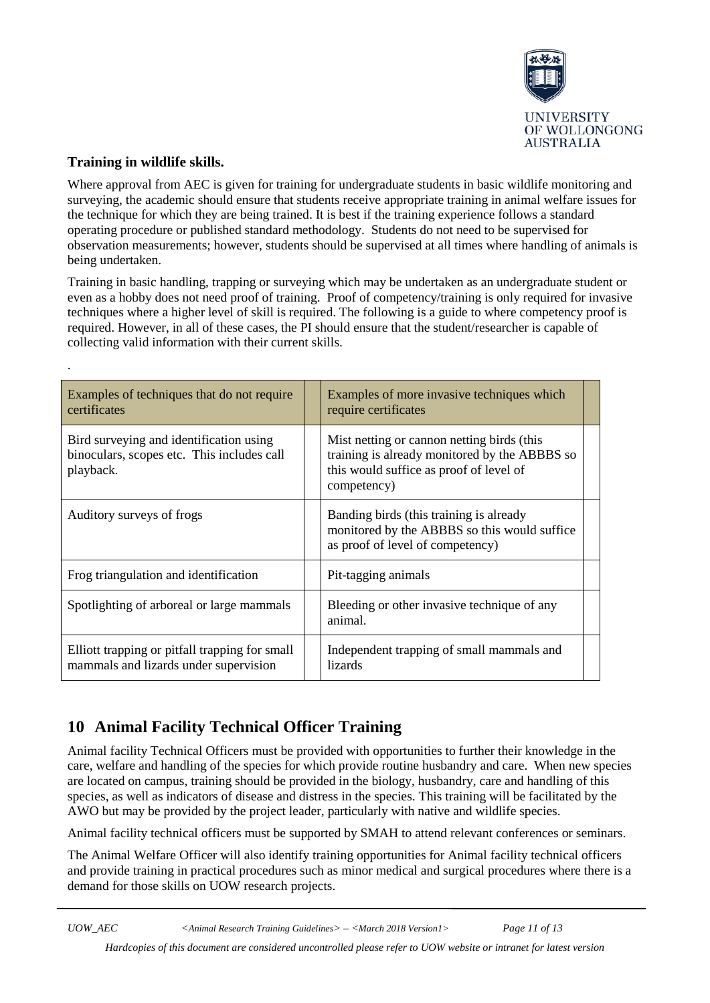

### <span id="page-10-0"></span>**Training in wildlife skills.**

.

Where approval from AEC is given for training for undergraduate students in basic wildlife monitoring and surveying, the academic should ensure that students receive appropriate training in animal welfare issues for the technique for which they are being trained. It is best if the training experience follows a standard operating procedure or published standard methodology. Students do not need to be supervised for observation measurements; however, students should be supervised at all times where handling of animals is being undertaken.

Training in basic handling, trapping or surveying which may be undertaken as an undergraduate student or even as a hobby does not need proof of training. Proof of competency/training is only required for invasive techniques where a higher level of skill is required. The following is a guide to where competency proof is required. However, in all of these cases, the PI should ensure that the student/researcher is capable of collecting valid information with their current skills.

| Examples of techniques that do not require<br>certificates                                         | Examples of more invasive techniques which<br>require certificates                                                                                    |  |
|----------------------------------------------------------------------------------------------------|-------------------------------------------------------------------------------------------------------------------------------------------------------|--|
| Bird surveying and identification using<br>binoculars, scopes etc. This includes call<br>playback. | Mist netting or cannon netting birds (this<br>training is already monitored by the ABBBS so<br>this would suffice as proof of level of<br>competency) |  |
| Auditory surveys of frogs                                                                          | Banding birds (this training is already<br>monitored by the ABBBS so this would suffice<br>as proof of level of competency)                           |  |
| Frog triangulation and identification                                                              | Pit-tagging animals                                                                                                                                   |  |
| Spotlighting of arboreal or large mammals                                                          | Bleeding or other invasive technique of any<br>animal.                                                                                                |  |
| Elliott trapping or pitfall trapping for small<br>mammals and lizards under supervision            | Independent trapping of small mammals and<br><i>lizards</i>                                                                                           |  |

# <span id="page-10-1"></span>**10 Animal Facility Technical Officer Training**

Animal facility Technical Officers must be provided with opportunities to further their knowledge in the care, welfare and handling of the species for which provide routine husbandry and care. When new species are located on campus, training should be provided in the biology, husbandry, care and handling of this species, as well as indicators of disease and distress in the species. This training will be facilitated by the AWO but may be provided by the project leader, particularly with native and wildlife species.

Animal facility technical officers must be supported by SMAH to attend relevant conferences or seminars.

The Animal Welfare Officer will also identify training opportunities for Animal facility technical officers and provide training in practical procedures such as minor medical and surgical procedures where there is a demand for those skills on UOW research projects.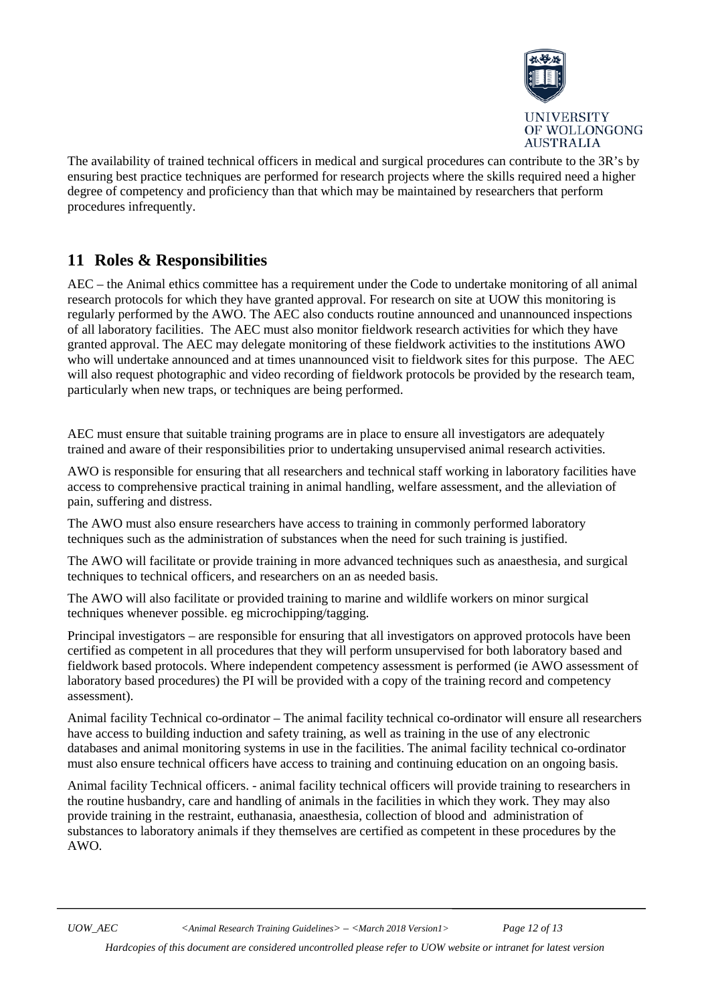

The availability of trained technical officers in medical and surgical procedures can contribute to the 3R's by ensuring best practice techniques are performed for research projects where the skills required need a higher degree of competency and proficiency than that which may be maintained by researchers that perform procedures infrequently.

# <span id="page-11-0"></span>**11 Roles & Responsibilities**

AEC – the Animal ethics committee has a requirement under the Code to undertake monitoring of all animal research protocols for which they have granted approval. For research on site at UOW this monitoring is regularly performed by the AWO. The AEC also conducts routine announced and unannounced inspections of all laboratory facilities. The AEC must also monitor fieldwork research activities for which they have granted approval. The AEC may delegate monitoring of these fieldwork activities to the institutions AWO who will undertake announced and at times unannounced visit to fieldwork sites for this purpose. The AEC will also request photographic and video recording of fieldwork protocols be provided by the research team, particularly when new traps, or techniques are being performed.

AEC must ensure that suitable training programs are in place to ensure all investigators are adequately trained and aware of their responsibilities prior to undertaking unsupervised animal research activities.

AWO is responsible for ensuring that all researchers and technical staff working in laboratory facilities have access to comprehensive practical training in animal handling, welfare assessment, and the alleviation of pain, suffering and distress.

The AWO must also ensure researchers have access to training in commonly performed laboratory techniques such as the administration of substances when the need for such training is justified.

The AWO will facilitate or provide training in more advanced techniques such as anaesthesia, and surgical techniques to technical officers, and researchers on an as needed basis.

The AWO will also facilitate or provided training to marine and wildlife workers on minor surgical techniques whenever possible. eg microchipping/tagging.

Principal investigators – are responsible for ensuring that all investigators on approved protocols have been certified as competent in all procedures that they will perform unsupervised for both laboratory based and fieldwork based protocols. Where independent competency assessment is performed (ie AWO assessment of laboratory based procedures) the PI will be provided with a copy of the training record and competency assessment).

Animal facility Technical co-ordinator – The animal facility technical co-ordinator will ensure all researchers have access to building induction and safety training, as well as training in the use of any electronic databases and animal monitoring systems in use in the facilities. The animal facility technical co-ordinator must also ensure technical officers have access to training and continuing education on an ongoing basis.

Animal facility Technical officers. - animal facility technical officers will provide training to researchers in the routine husbandry, care and handling of animals in the facilities in which they work. They may also provide training in the restraint, euthanasia, anaesthesia, collection of blood and administration of substances to laboratory animals if they themselves are certified as competent in these procedures by the AWO.